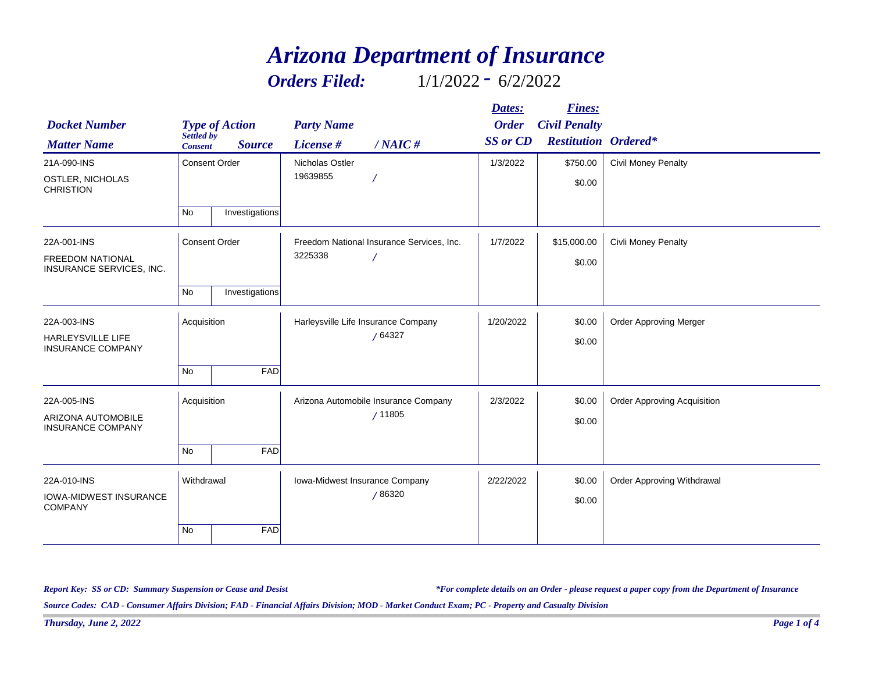## *Arizona Department of Insurance*

*Orders Filed:* 1/1/2022 *-* 6/2/2022

| <b>Docket Number</b>                                | <b>Type of Action</b>                         | <b>Party Name</b>                         | Dates:<br><b>Order</b> | <b>Fines:</b><br><b>Civil Penalty</b> |                                    |
|-----------------------------------------------------|-----------------------------------------------|-------------------------------------------|------------------------|---------------------------------------|------------------------------------|
| <b>Matter Name</b>                                  | Settled by<br><b>Source</b><br><b>Consent</b> | License #<br>$/NAIC$ #                    | <b>SS</b> or CD        | <b>Restitution Ordered*</b>           |                                    |
| 21A-090-INS                                         | <b>Consent Order</b>                          | Nicholas Ostler                           | 1/3/2022               | \$750.00                              | <b>Civil Money Penalty</b>         |
| OSTLER, NICHOLAS<br><b>CHRISTION</b>                |                                               | 19639855                                  |                        | \$0.00                                |                                    |
|                                                     | No<br>Investigations                          |                                           |                        |                                       |                                    |
| 22A-001-INS                                         | <b>Consent Order</b>                          | Freedom National Insurance Services, Inc. | 1/7/2022               | \$15,000.00<br>Civli Money Penalty    |                                    |
| <b>FREEDOM NATIONAL</b><br>INSURANCE SERVICES, INC. |                                               | 3225338                                   |                        | \$0.00                                |                                    |
|                                                     | No<br>Investigations                          |                                           |                        |                                       |                                    |
| 22A-003-INS                                         | Acquisition                                   | Harleysville Life Insurance Company       | 1/20/2022              | \$0.00                                | <b>Order Approving Merger</b>      |
| HARLEYSVILLE LIFE<br><b>INSURANCE COMPANY</b>       |                                               | /64327                                    |                        | \$0.00                                |                                    |
|                                                     | <b>No</b>                                     | FAD                                       |                        |                                       |                                    |
| 22A-005-INS                                         | Acquisition                                   | Arizona Automobile Insurance Company      | 2/3/2022               | \$0.00                                | <b>Order Approving Acquisition</b> |
| ARIZONA AUTOMOBILE<br><b>INSURANCE COMPANY</b>      |                                               | /11805                                    |                        | \$0.00                                |                                    |
|                                                     | No                                            | FAD                                       |                        |                                       |                                    |
| 22A-010-INS                                         | Withdrawal                                    | Iowa-Midwest Insurance Company            | 2/22/2022              | \$0.00                                | Order Approving Withdrawal         |
| <b>IOWA-MIDWEST INSURANCE</b><br><b>COMPANY</b>     |                                               | /86320                                    |                        | \$0.00                                |                                    |
|                                                     | <b>No</b>                                     | FAD                                       |                        |                                       |                                    |

*Report Key: SS or CD: Summary Suspension or Cease and Desist*

*\*For complete details on an Order - please request a paper copy from the Department of Insurance*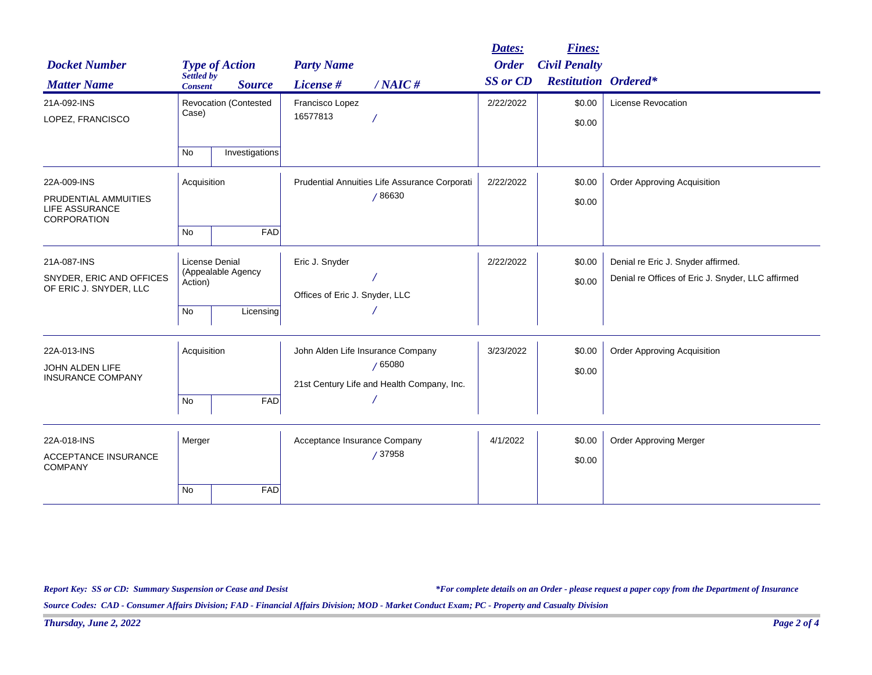|                                                              |                                                        |                              |                                               |                                            | Dates:          | <b>Fines:</b>                 |                                                   |
|--------------------------------------------------------------|--------------------------------------------------------|------------------------------|-----------------------------------------------|--------------------------------------------|-----------------|-------------------------------|---------------------------------------------------|
| <b>Docket Number</b>                                         |                                                        | <b>Type of Action</b>        | <b>Party Name</b>                             |                                            | <b>Order</b>    | <b>Civil Penalty</b>          |                                                   |
| <b>Matter Name</b>                                           | Settled by<br><b>Consent</b>                           | <b>Source</b>                | License #                                     | $/NAIC$ #                                  | <b>SS</b> or CD | <b>Restitution Ordered*</b>   |                                                   |
| 21A-092-INS                                                  |                                                        | <b>Revocation (Contested</b> | Francisco Lopez                               |                                            | 2/22/2022       | \$0.00                        | License Revocation                                |
| LOPEZ, FRANCISCO                                             | Case)                                                  |                              | 16577813                                      |                                            |                 | \$0.00                        |                                                   |
|                                                              | <b>No</b>                                              | Investigations               |                                               |                                            |                 |                               |                                                   |
| 22A-009-INS                                                  | Acquisition                                            |                              | Prudential Annuities Life Assurance Corporati |                                            | 2/22/2022       | \$0.00                        | <b>Order Approving Acquisition</b>                |
| PRUDENTIAL AMMUITIES<br><b>LIFE ASSURANCE</b><br>CORPORATION |                                                        |                              |                                               | /86630                                     |                 | \$0.00                        |                                                   |
|                                                              | No                                                     | FAD                          |                                               |                                            |                 |                               |                                                   |
| 21A-087-INS                                                  | <b>License Denial</b><br>(Appealable Agency<br>Action) |                              | Eric J. Snyder                                |                                            | 2/22/2022       | \$0.00                        | Denial re Eric J. Snyder affirmed.                |
| SNYDER, ERIC AND OFFICES<br>OF ERIC J. SNYDER, LLC           |                                                        |                              | Offices of Eric J. Snyder, LLC                |                                            |                 | \$0.00                        | Denial re Offices of Eric J. Snyder, LLC affirmed |
|                                                              | No                                                     | Licensing                    |                                               |                                            |                 |                               |                                                   |
| 22A-013-INS                                                  | Acquisition                                            |                              |                                               | John Alden Life Insurance Company          | 3/23/2022       | \$0.00                        | <b>Order Approving Acquisition</b>                |
| JOHN ALDEN LIFE<br><b>INSURANCE COMPANY</b>                  |                                                        |                              |                                               | /65080                                     |                 | \$0.00                        |                                                   |
|                                                              | No                                                     | <b>FAD</b>                   |                                               | 21st Century Life and Health Company, Inc. |                 |                               |                                                   |
| 22A-018-INS                                                  | Merger                                                 |                              | Acceptance Insurance Company<br>/37958        | 4/1/2022                                   | \$0.00          | <b>Order Approving Merger</b> |                                                   |
| <b>ACCEPTANCE INSURANCE</b><br><b>COMPANY</b>                |                                                        |                              |                                               |                                            | \$0.00          |                               |                                                   |
|                                                              | <b>No</b>                                              | <b>FAD</b>                   |                                               |                                            |                 |                               |                                                   |

*Report Key: SS or CD: Summary Suspension or Cease and Desist*

*\*For complete details on an Order - please request a paper copy from the Department of Insurance*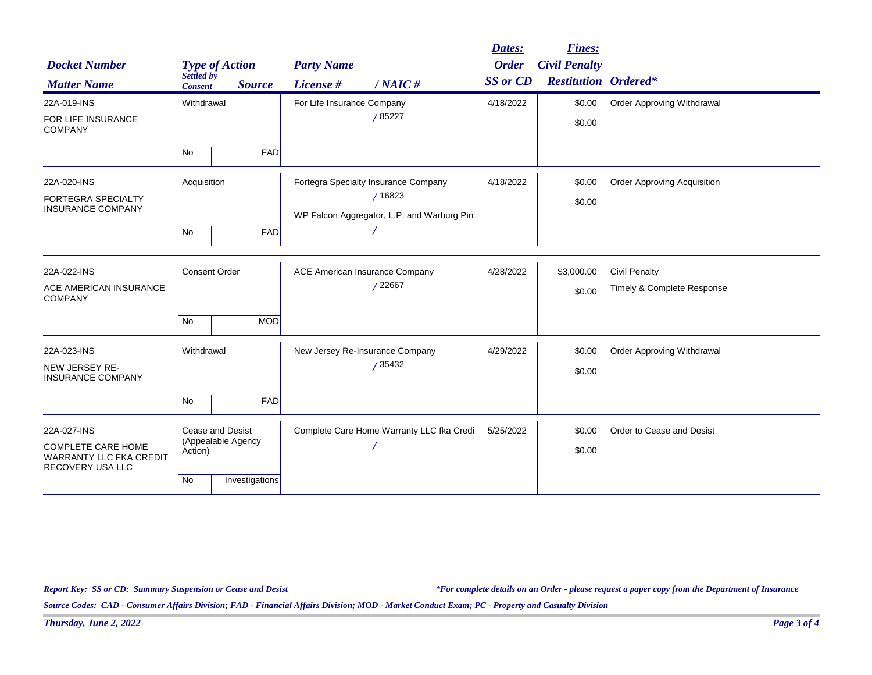|                                                                                 |                                                          |                |                                           |                                            | Dates:          | <b>Fines:</b>               |                                    |
|---------------------------------------------------------------------------------|----------------------------------------------------------|----------------|-------------------------------------------|--------------------------------------------|-----------------|-----------------------------|------------------------------------|
| <b>Docket Number</b>                                                            | <b>Type of Action</b>                                    |                | <b>Party Name</b>                         |                                            | <b>Order</b>    | <b>Civil Penalty</b>        |                                    |
| <b>Matter Name</b>                                                              | Settled by<br><b>Consent</b>                             | <b>Source</b>  | License #                                 | $/NAIC$ #                                  | <b>SS</b> or CD | <b>Restitution Ordered*</b> |                                    |
| 22A-019-INS                                                                     | Withdrawal                                               |                | For Life Insurance Company                |                                            | 4/18/2022       | \$0.00                      | <b>Order Approving Withdrawal</b>  |
| <b>FOR LIFE INSURANCE</b><br><b>COMPANY</b>                                     |                                                          |                |                                           | /85227                                     |                 | \$0.00                      |                                    |
|                                                                                 | <b>No</b>                                                | <b>FAD</b>     |                                           |                                            |                 |                             |                                    |
| 22A-020-INS                                                                     | Acquisition                                              |                |                                           | Fortegra Specialty Insurance Company       | 4/18/2022       | \$0.00                      | <b>Order Approving Acquisition</b> |
| <b>FORTEGRA SPECIALTY</b>                                                       |                                                          |                |                                           | /16823                                     |                 | \$0.00                      |                                    |
| <b>INSURANCE COMPANY</b>                                                        |                                                          |                |                                           | WP Falcon Aggregator, L.P. and Warburg Pin |                 |                             |                                    |
|                                                                                 | No                                                       | <b>FAD</b>     |                                           |                                            |                 |                             |                                    |
| 22A-022-INS                                                                     | <b>Consent Order</b>                                     |                |                                           | ACE American Insurance Company             | 4/28/2022       | \$3,000.00                  | <b>Civil Penalty</b>               |
| ACE AMERICAN INSURANCE<br><b>COMPANY</b>                                        |                                                          |                | /22667                                    |                                            |                 | \$0.00                      | Timely & Complete Response         |
|                                                                                 | <b>No</b>                                                | <b>MOD</b>     |                                           |                                            |                 |                             |                                    |
| 22A-023-INS                                                                     | Withdrawal                                               |                |                                           | New Jersey Re-Insurance Company            | 4/29/2022       | \$0.00                      | Order Approving Withdrawal         |
| NEW JERSEY RE-<br><b>INSURANCE COMPANY</b>                                      | /35432                                                   |                |                                           |                                            | \$0.00          |                             |                                    |
|                                                                                 | No                                                       | <b>FAD</b>     |                                           |                                            |                 |                             |                                    |
| 22A-027-INS                                                                     | <b>Cease and Desist</b><br>(Appealable Agency<br>Action) |                | Complete Care Home Warranty LLC fka Credi | 5/25/2022                                  | \$0.00          | Order to Cease and Desist   |                                    |
| <b>COMPLETE CARE HOME</b><br><b>WARRANTY LLC FKA CREDIT</b><br>RECOVERY USA LLC |                                                          |                |                                           |                                            | \$0.00          |                             |                                    |
|                                                                                 | <b>No</b>                                                | Investigations |                                           |                                            |                 |                             |                                    |

*Report Key: SS or CD: Summary Suspension or Cease and Desist*

*\*For complete details on an Order - please request a paper copy from the Department of Insurance*